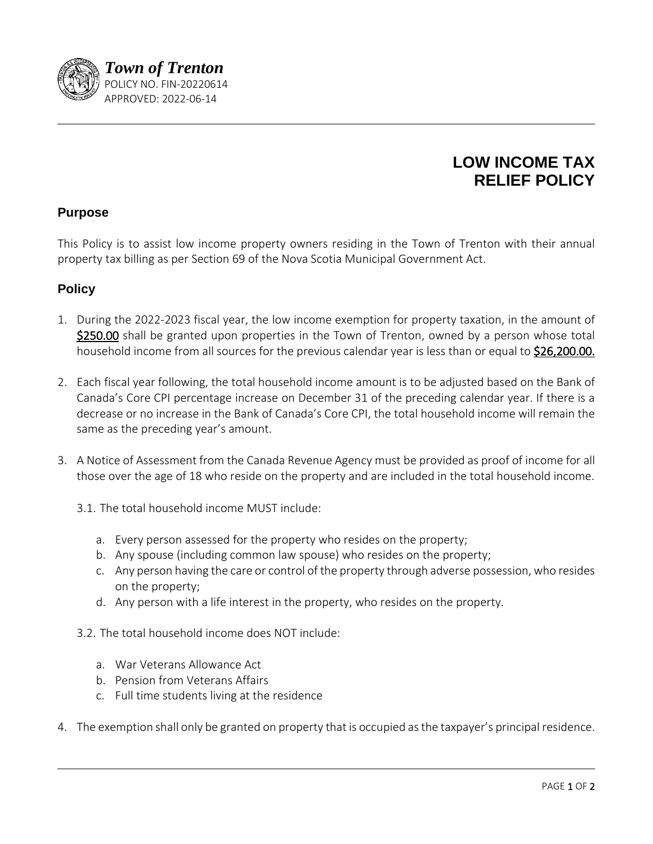

## **LOW INCOME TAX RELIEF POLICY**

## **Purpose**

This Policy is to assist low income property owners residing in the Town of Trenton with their annual property tax billing as per Section 69 of the Nova Scotia Municipal Government Act.

## **Policy**

- 1. During the 2022-2023 fiscal year, the low income exemption for property taxation, in the amount of \$250.00 shall be granted upon properties in the Town of Trenton, owned by a person whose total household income from all sources for the previous calendar year is less than or equal to \$26,200.00.
- 2. Each fiscal year following, the total household income amount is to be adjusted based on the Bank of Canada's Core CPI percentage increase on December 31 of the preceding calendar year. If there is a decrease or no increase in the Bank of Canada's Core CPI, the total household income will remain the same as the preceding year's amount.
- 3. A Notice of Assessment from the Canada Revenue Agency must be provided as proof of income for all those over the age of 18 who reside on the property and are included in the total household income.
	- 3.1. The total household income MUST include:
		- a. Every person assessed for the property who resides on the property;
		- b. Any spouse (including common law spouse) who resides on the property;
		- c. Any person having the care or control of the property through adverse possession, who resides on the property;
		- d. Any person with a life interest in the property, who resides on the property.
	- 3.2. The total household income does NOT include:
		- a. War Veterans Allowance Act
		- b. Pension from Veterans Affairs
		- c. Full time students living at the residence
- 4. The exemption shall only be granted on property that is occupied as the taxpayer's principal residence.